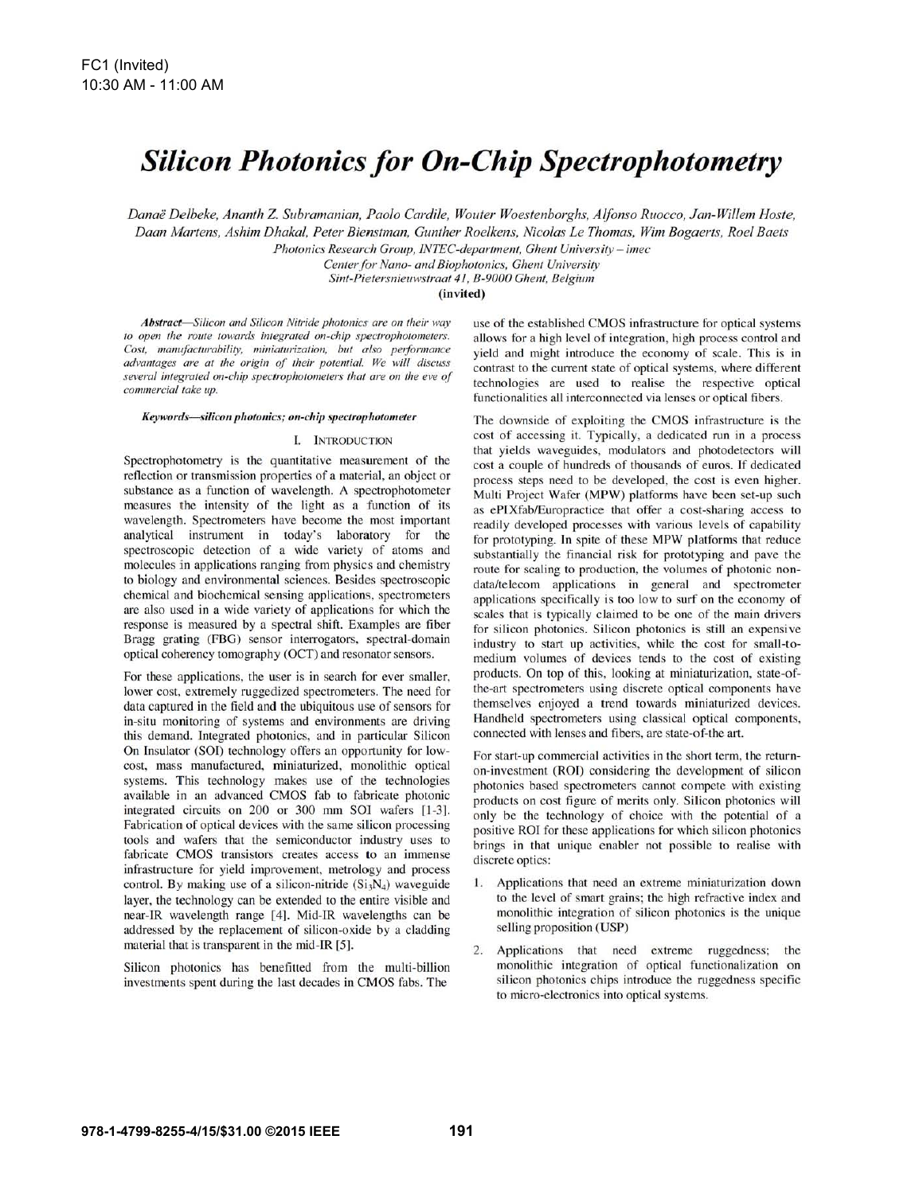# **Silicon Photonics for On-Chip Spectrophotometry**

Danaë Delbeke, Ananth Z. Subramanian, Paolo Cardile, Wouter Woestenborghs, Alfonso Ruocco, Jan-Willem Hoste, Daan Martens, Ashim Dhakal, Peter Bienstman, Gunther Roelkens, Nicolas Le Thomas, Wim Bogaerts, Roel Baets Photonics Research Group, INTEC-department, Ghent University - imec

Center for Nano- and Biophotonics, Ghent University Sint-Pietersnieuwstraat 41, B-9000 Ghent, Belgium

(invited)

Abstract-Silicon and Silicon Nitride photonics are on their way to open the route towards integrated on-chip spectrophotometers. Cost, manufacturability, miniaturization, but also performance advantages are at the origin of their potential. We will discuss several integrated on-chip spectrophotometers that are on the eve of commercial take up.

#### Keywords-silicon photonics; on-chip spectrophotometer

#### I. INTRODUCTION

Spectrophotometry is the quantitative measurement of the reflection or transmission properties of a material, an object or substance as a function of wavelength. A spectrophotometer measures the intensity of the light as a function of its wavelength. Spectrometers have become the most important analytical instrument in today's laboratory for the spectroscopic detection of a wide variety of atoms and molecules in applications ranging from physics and chemistry to biology and environmental sciences. Besides spectroscopic chemical and biochemical sensing applications, spectrometers are also used in a wide variety of applications for which the response is measured by a spectral shift. Examples are fiber Bragg grating (FBG) sensor interrogators, spectral-domain optical coherency tomography (OCT) and resonator sensors.

For these applications, the user is in search for ever smaller, lower cost, extremely ruggedized spectrometers. The need for data captured in the field and the ubiquitous use of sensors for in-situ monitoring of systems and environments are driving this demand. Integrated photonics, and in particular Silicon On Insulator (SOI) technology offers an opportunity for lowcost, mass manufactured, miniaturized, monolithic optical systems. This technology makes use of the technologies available in an advanced CMOS fab to fabricate photonic integrated circuits on 200 or 300 mm SOI wafers [1-3]. Fabrication of optical devices with the same silicon processing tools and wafers that the semiconductor industry uses to fabricate CMOS transistors creates access to an immense infrastructure for yield improvement, metrology and process control. By making use of a silicon-nitride  $(Si<sub>3</sub>N<sub>4</sub>)$  waveguide layer, the technology can be extended to the entire visible and near-IR wavelength range [4]. Mid-IR wavelengths can be addressed by the replacement of silicon-oxide by a cladding material that is transparent in the mid-IR [5].

Silicon photonics has benefitted from the multi-billion investments spent during the last decades in CMOS fabs. The

use of the established CMOS infrastructure for optical systems allows for a high level of integration, high process control and yield and might introduce the economy of scale. This is in contrast to the current state of optical systems, where different technologies are used to realise the respective optical functionalities all interconnected via lenses or optical fibers.

The downside of exploiting the CMOS infrastructure is the cost of accessing it. Typically, a dedicated run in a process that yields waveguides, modulators and photodetectors will cost a couple of hundreds of thousands of euros. If dedicated process steps need to be developed, the cost is even higher. Multi Project Wafer (MPW) platforms have been set-up such as ePIXfab/Europractice that offer a cost-sharing access to readily developed processes with various levels of capability for prototyping. In spite of these MPW platforms that reduce substantially the financial risk for prototyping and pave the route for scaling to production, the volumes of photonic nondata/telecom applications in general and spectrometer applications specifically is too low to surf on the economy of scales that is typically claimed to be one of the main drivers for silicon photonics. Silicon photonics is still an expensive industry to start up activities, while the cost for small-tomedium volumes of devices tends to the cost of existing products. On top of this, looking at miniaturization, state-ofthe-art spectrometers using discrete optical components have themselves enjoyed a trend towards miniaturized devices. Handheld spectrometers using classical optical components, connected with lenses and fibers, are state-of-the art.

For start-up commercial activities in the short term, the returnon-investment (ROI) considering the development of silicon photonics based spectrometers cannot compete with existing products on cost figure of merits only. Silicon photonics will only be the technology of choice with the potential of a positive ROI for these applications for which silicon photonics brings in that unique enabler not possible to realise with discrete optics:

- 1. Applications that need an extreme miniaturization down to the level of smart grains; the high refractive index and monolithic integration of silicon photonics is the unique selling proposition (USP)
- 2. Applications that need extreme ruggedness; the monolithic integration of optical functionalization on silicon photonics chips introduce the ruggedness specific to micro-electronics into optical systems.